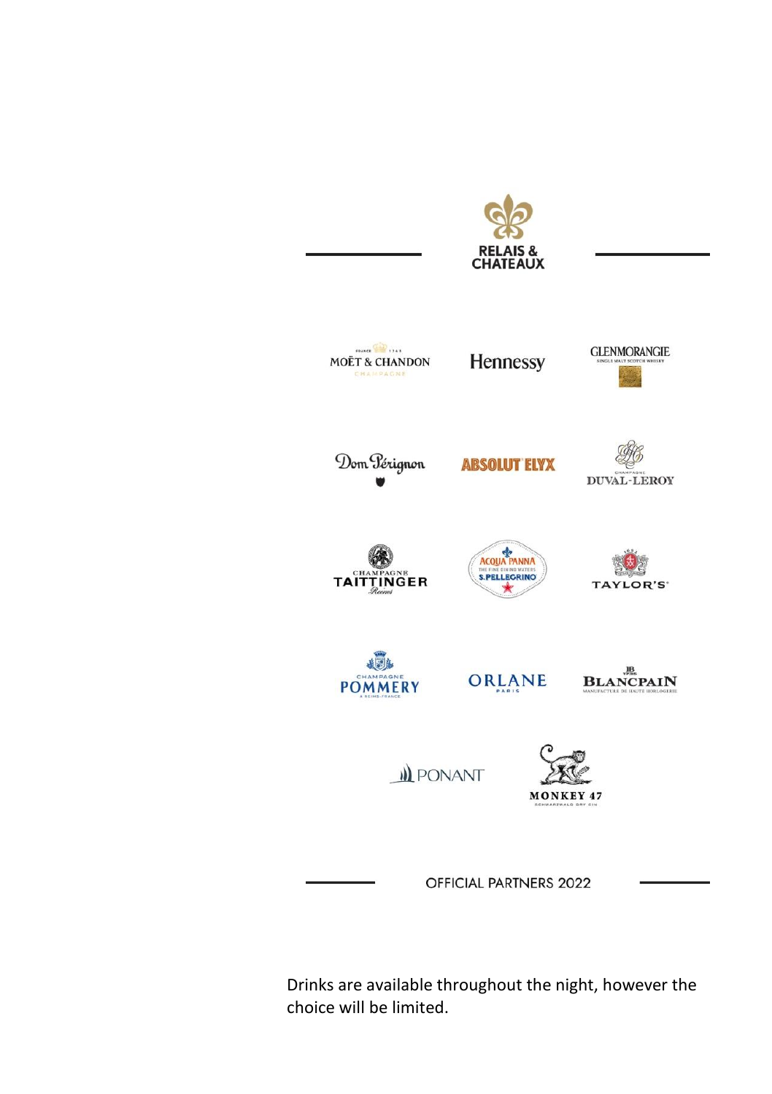

Drinks are available throughout the night, however the choice will be limited.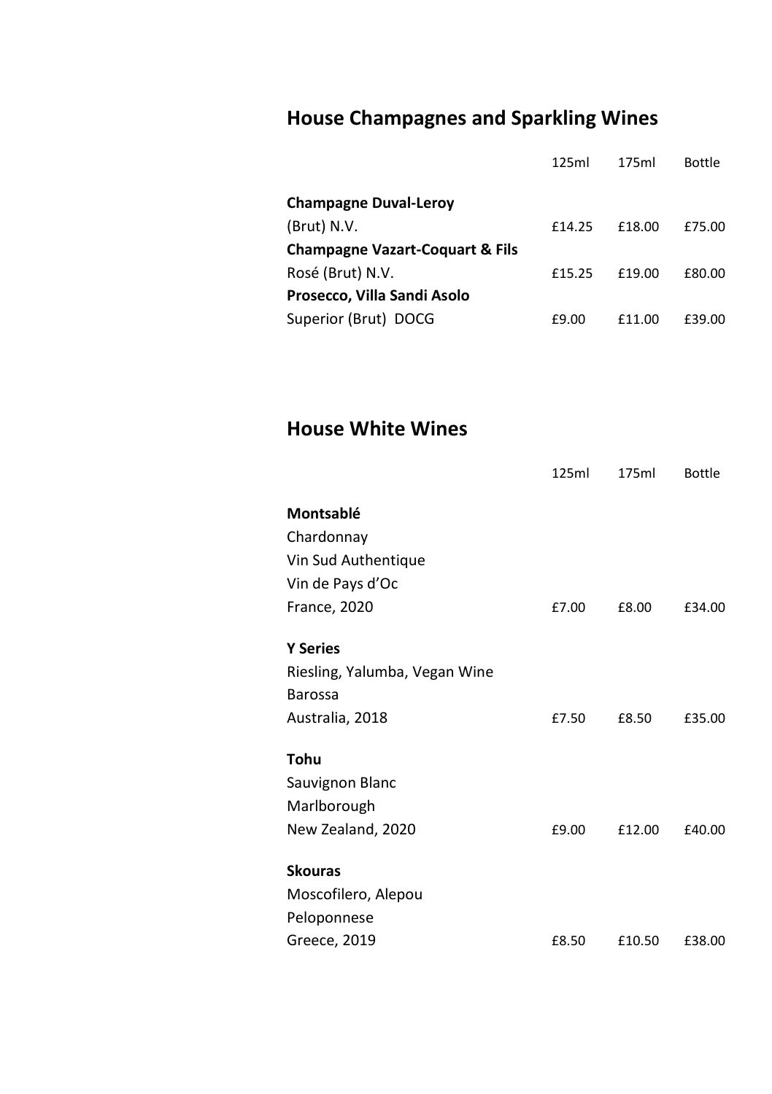# **House Champagnes and Sparkling Wines**

|                                            | 125ml  | 175ml  | <b>Bottle</b> |
|--------------------------------------------|--------|--------|---------------|
| <b>Champagne Duval-Lerov</b>               |        |        |               |
| (Brut) N.V.                                | £14.25 | £18.00 | £75.00        |
| <b>Champagne Vazart-Coquart &amp; Fils</b> |        |        |               |
| Rosé (Brut) N.V.                           | £15.25 | £19.00 | £80.00        |
| Prosecco, Villa Sandi Asolo                |        |        |               |
| Superior (Brut) DOCG                       | £9.00  | £11.00 | £39.00        |

**House White Wines**

|                               | 125ml | 175ml  | <b>Bottle</b> |
|-------------------------------|-------|--------|---------------|
| Montsablé                     |       |        |               |
| Chardonnay                    |       |        |               |
| Vin Sud Authentique           |       |        |               |
| Vin de Pays d'Oc              |       |        |               |
| <b>France, 2020</b>           | £7.00 | £8.00  | £34.00        |
| <b>Y Series</b>               |       |        |               |
| Riesling, Yalumba, Vegan Wine |       |        |               |
| <b>Barossa</b>                |       |        |               |
| Australia, 2018               | £7.50 | £8.50  | £35.00        |
| Tohu                          |       |        |               |
| Sauvignon Blanc               |       |        |               |
| Marlborough                   |       |        |               |
| New Zealand, 2020             | £9.00 | £12.00 | £40.00        |
| <b>Skouras</b>                |       |        |               |
| Moscofilero, Alepou           |       |        |               |
| Peloponnese                   |       |        |               |
| Greece, 2019                  | £8.50 | £10.50 | £38.00        |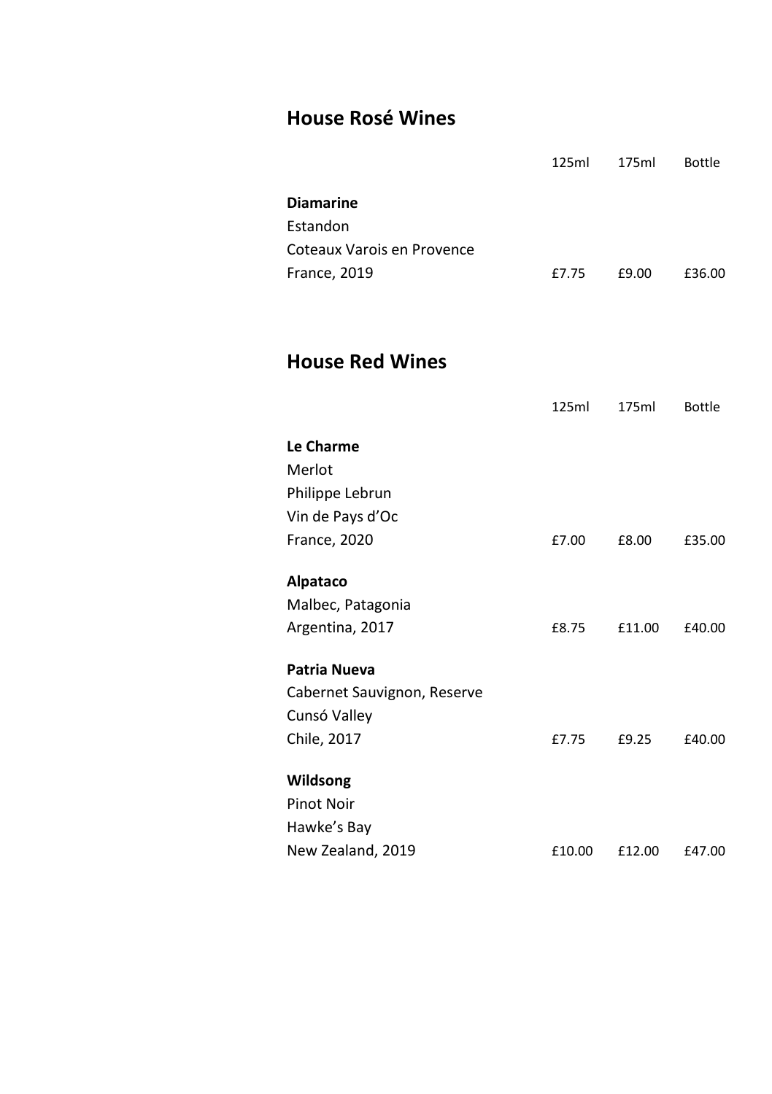# **House Rosé Wines**

|                                                                                   | 125ml  | 175ml  | <b>Bottle</b> |
|-----------------------------------------------------------------------------------|--------|--------|---------------|
| <b>Diamarine</b><br>Estandon<br>Coteaux Varois en Provence<br><b>France, 2019</b> | £7.75  | £9.00  | £36.00        |
| <b>House Red Wines</b>                                                            | 125ml  | 175ml  | <b>Bottle</b> |
| Le Charme<br>Merlot<br>Philippe Lebrun                                            |        |        |               |
| Vin de Pays d'Oc<br><b>France, 2020</b>                                           | £7.00  | £8.00  | £35.00        |
| <b>Alpataco</b><br>Malbec, Patagonia<br>Argentina, 2017                           | £8.75  | £11.00 | £40.00        |
| Patria Nueva<br>Cabernet Sauvignon, Reserve<br>Cunsó Valley                       |        |        |               |
| Chile, 2017<br>Wildsong                                                           | £7.75  | £9.25  | £40.00        |
| <b>Pinot Noir</b><br>Hawke's Bay                                                  |        |        |               |
| New Zealand, 2019                                                                 | £10.00 | £12.00 | £47.00        |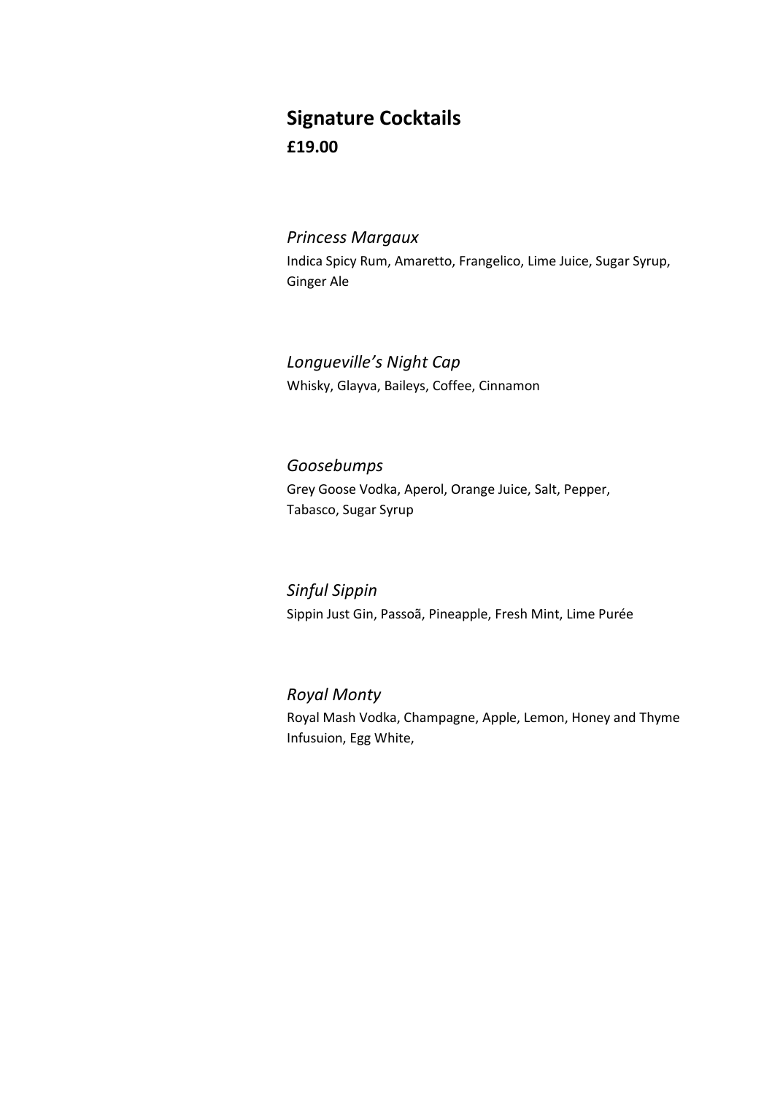# **Signature Cocktails £19.00**

#### *Princess Margaux*

Indica Spicy Rum, Amaretto, Frangelico, Lime Juice, Sugar Syrup, Ginger Ale

*Longueville's Night Cap* Whisky, Glayva, Baileys, Coffee, Cinnamon

*Goosebumps* Grey Goose Vodka, Aperol, Orange Juice, Salt, Pepper, Tabasco, Sugar Syrup

*Sinful Sippin* Sippin Just Gin, Passoã, Pineapple, Fresh Mint, Lime Purée

#### *Royal Monty*

Royal Mash Vodka, Champagne, Apple, Lemon, Honey and Thyme Infusuion, Egg White,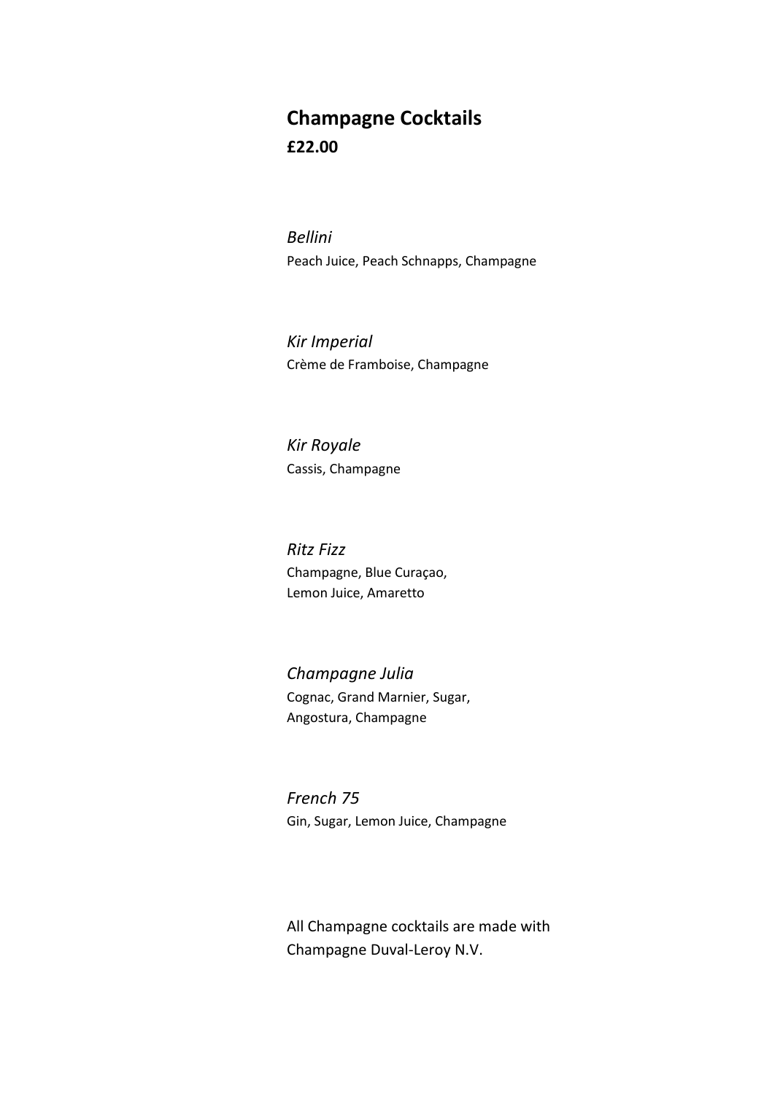# **Champagne Cocktails £22.00**

*Bellini* Peach Juice, Peach Schnapps, Champagne

*Kir Imperial* Crème de Framboise, Champagne

*Kir Royale* Cassis, Champagne

*Ritz Fizz* Champagne, Blue Curaçao, Lemon Juice, Amaretto

*Champagne Julia* Cognac, Grand Marnier, Sugar, Angostura, Champagne

*French 75* Gin, Sugar, Lemon Juice, Champagne

All Champagne cocktails are made with Champagne Duval-Leroy N.V.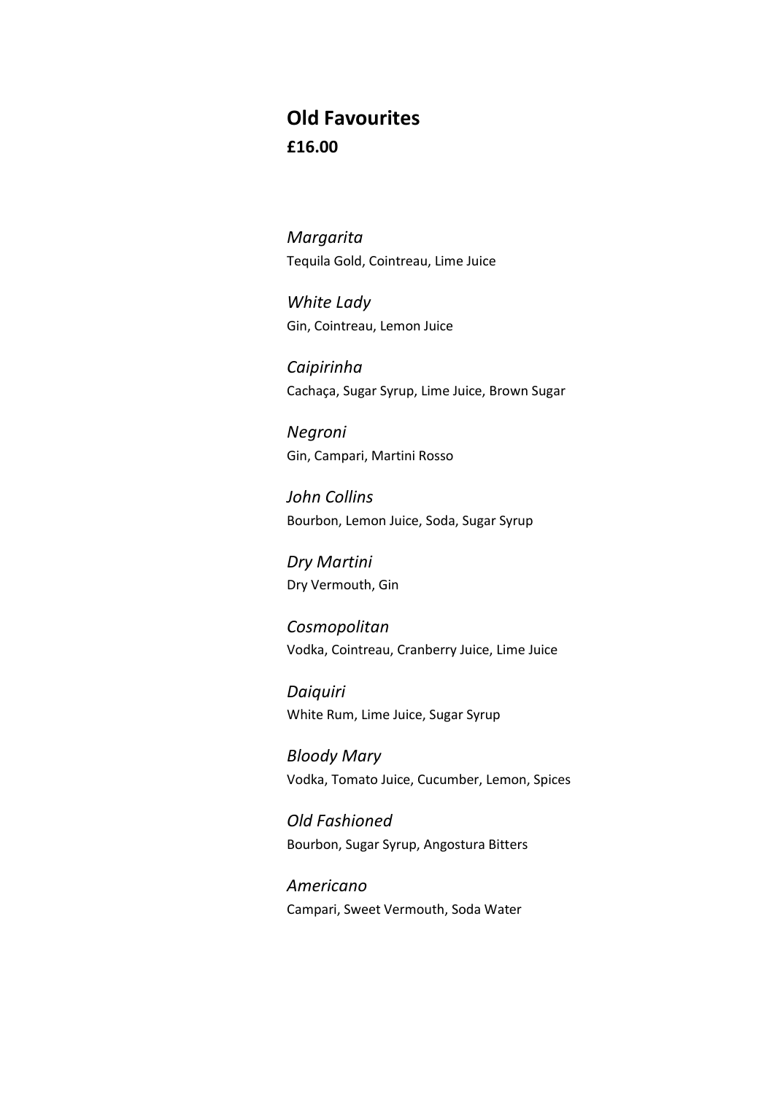### **Old Favourites £16.00**

*Margarita* Tequila Gold, Cointreau, Lime Juice

*White Lady* Gin, Cointreau, Lemon Juice

*Caipirinha* Cachaça, Sugar Syrup, Lime Juice, Brown Sugar

*Negroni* Gin, Campari, Martini Rosso

*John Collins* Bourbon, Lemon Juice, Soda, Sugar Syrup

*Dry Martini* Dry Vermouth, Gin

*Cosmopolitan* Vodka, Cointreau, Cranberry Juice, Lime Juice

*Daiquiri* White Rum, Lime Juice, Sugar Syrup

*Bloody Mary* Vodka, Tomato Juice, Cucumber, Lemon, Spices

*Old Fashioned* Bourbon, Sugar Syrup, Angostura Bitters

*Americano* Campari, Sweet Vermouth, Soda Water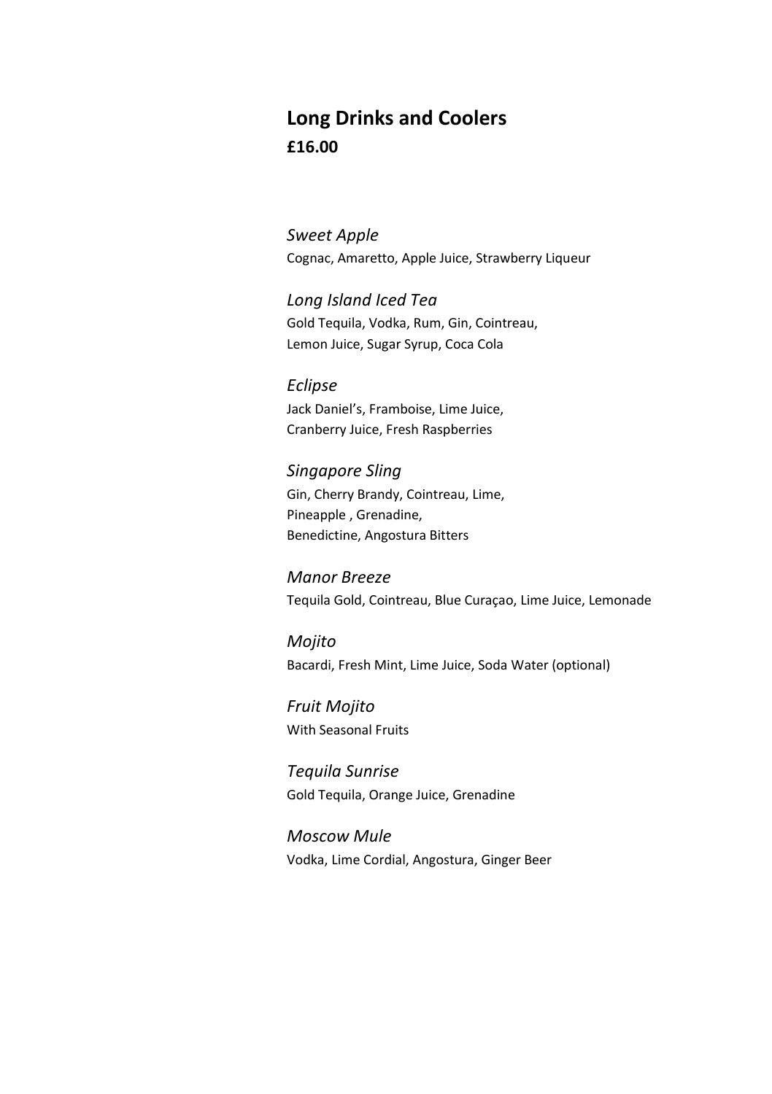## **Long Drinks and Coolers £16.00**

*Sweet Apple* Cognac, Amaretto, Apple Juice, Strawberry Liqueur

*Long Island Iced Tea* Gold Tequila, Vodka, Rum, Gin, Cointreau, Lemon Juice, Sugar Syrup, Coca Cola

*Eclipse* Jack Daniel's, Framboise, Lime Juice, Cranberry Juice, Fresh Raspberries

*Singapore Sling* Gin, Cherry Brandy, Cointreau, Lime, Pineapple , Grenadine, Benedictine, Angostura Bitters

*Manor Breeze* Tequila Gold, Cointreau, Blue Curaçao, Lime Juice, Lemonade

*Mojito* Bacardi, Fresh Mint, Lime Juice, Soda Water (optional)

*Fruit Mojito* With Seasonal Fruits

*Tequila Sunrise* Gold Tequila, Orange Juice, Grenadine

*Moscow Mule* Vodka, Lime Cordial, Angostura, Ginger Beer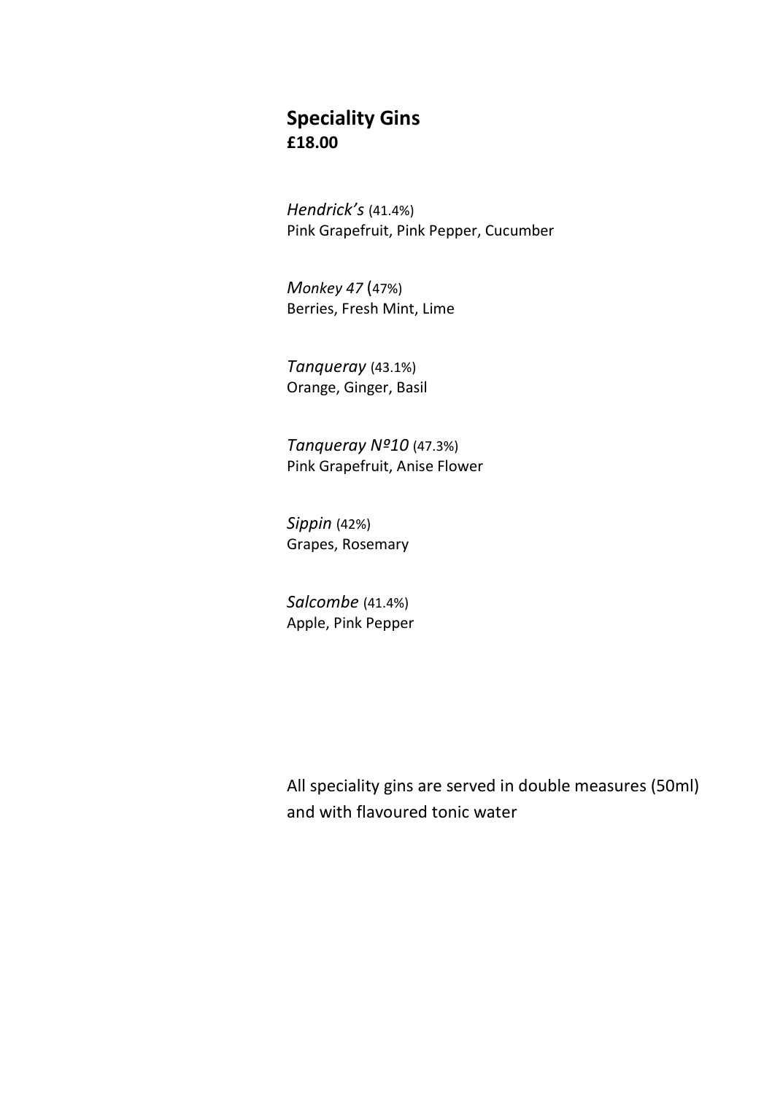#### **Speciality Gins £18.00**

*Hendrick's* (41.4%) Pink Grapefruit, Pink Pepper, Cucumber

*Monkey 47* (47%) Berries, Fresh Mint, Lime

*Tanqueray* (43.1%) Orange, Ginger, Basil

*Tanqueray Nº10* (47.3%) Pink Grapefruit, Anise Flower

*Sippin* (42%) Grapes, Rosemary

*Salcombe* (41.4%) Apple, Pink Pepper

All speciality gins are served in double measures (50ml) and with flavoured tonic water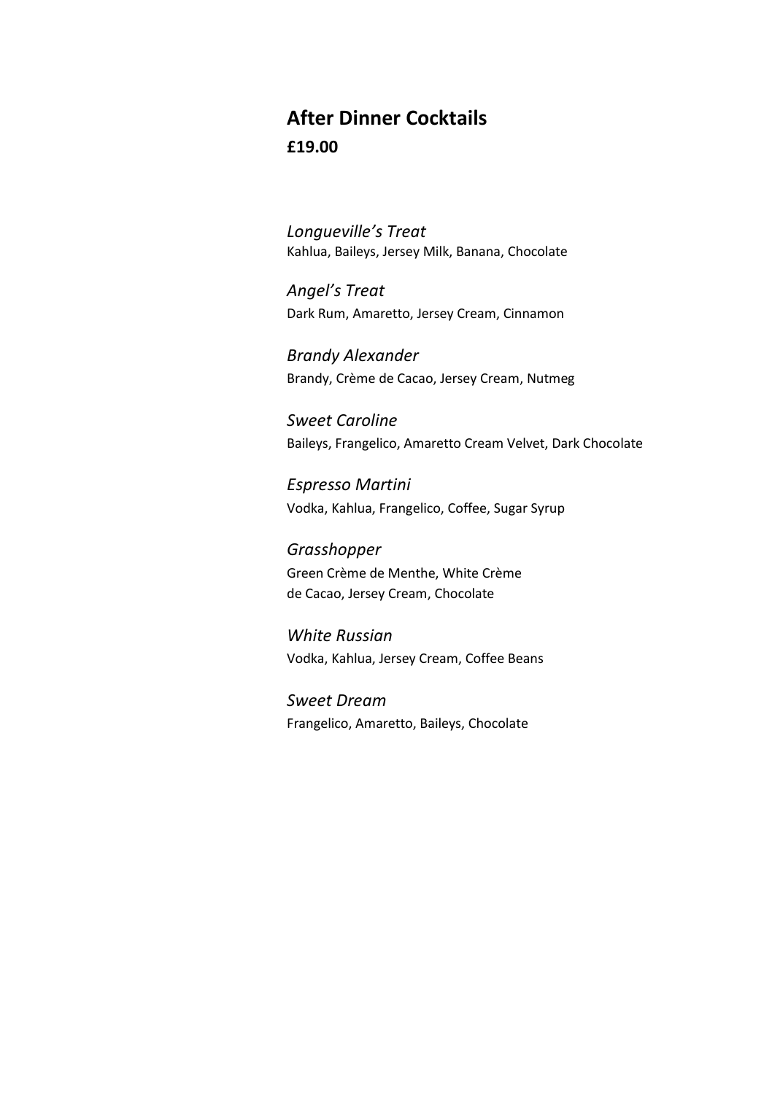# **After Dinner Cocktails £19.00**

*Longueville's Treat* Kahlua, Baileys, Jersey Milk, Banana, Chocolate

*Angel's Treat* Dark Rum, Amaretto, Jersey Cream, Cinnamon

*Brandy Alexander* Brandy, Crème de Cacao, Jersey Cream, Nutmeg

*Sweet Caroline* Baileys, Frangelico, Amaretto Cream Velvet, Dark Chocolate

*Espresso Martini* Vodka, Kahlua, Frangelico, Coffee, Sugar Syrup

*Grasshopper* Green Crème de Menthe, White Crème de Cacao, Jersey Cream, Chocolate

*White Russian* Vodka, Kahlua, Jersey Cream, Coffee Beans

*Sweet Dream* Frangelico, Amaretto, Baileys, Chocolate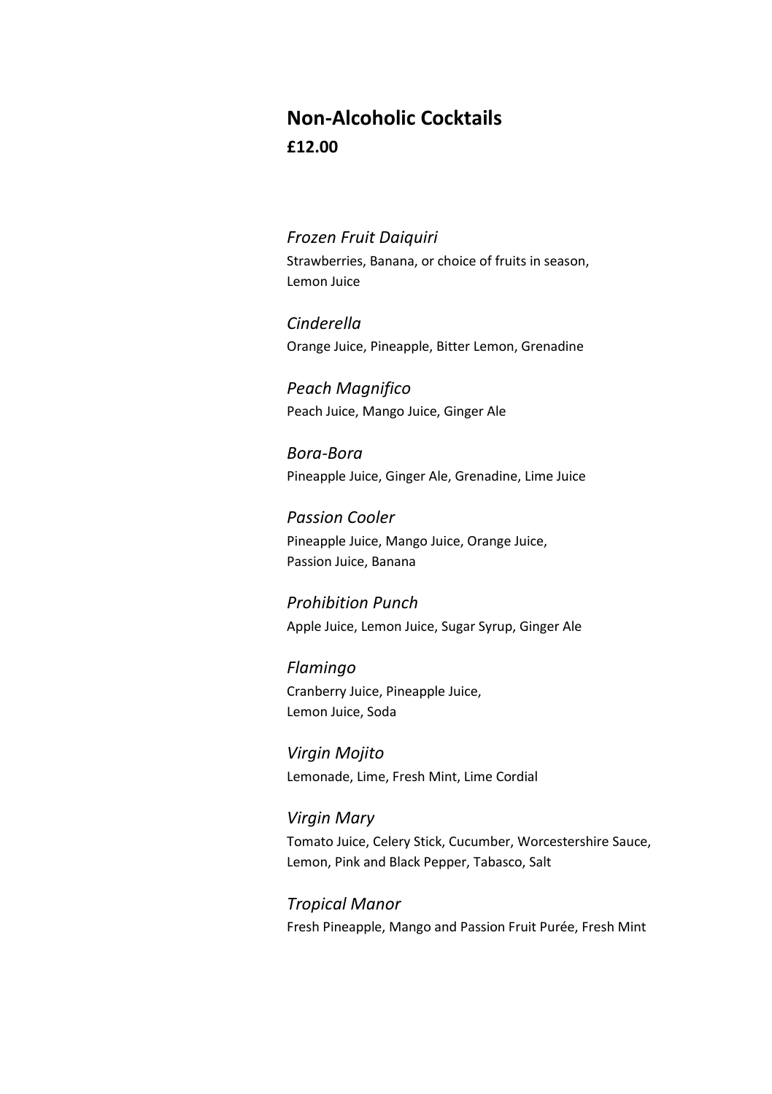## **Non-Alcoholic Cocktails £12.00**

#### *Frozen Fruit Daiquiri*

Strawberries, Banana, or choice of fruits in season, Lemon Juice

*Cinderella* Orange Juice, Pineapple, Bitter Lemon, Grenadine

*Peach Magnifico* Peach Juice, Mango Juice, Ginger Ale

*Bora-Bora* Pineapple Juice, Ginger Ale, Grenadine, Lime Juice

*Passion Cooler* Pineapple Juice, Mango Juice, Orange Juice, Passion Juice, Banana

*Prohibition Punch* Apple Juice, Lemon Juice, Sugar Syrup, Ginger Ale

*Flamingo* Cranberry Juice, Pineapple Juice, Lemon Juice, Soda

*Virgin Mojito* Lemonade, Lime, Fresh Mint, Lime Cordial

*Virgin Mary* Tomato Juice, Celery Stick, Cucumber, Worcestershire Sauce, Lemon, Pink and Black Pepper, Tabasco, Salt

*Tropical Manor* Fresh Pineapple, Mango and Passion Fruit Purée, Fresh Mint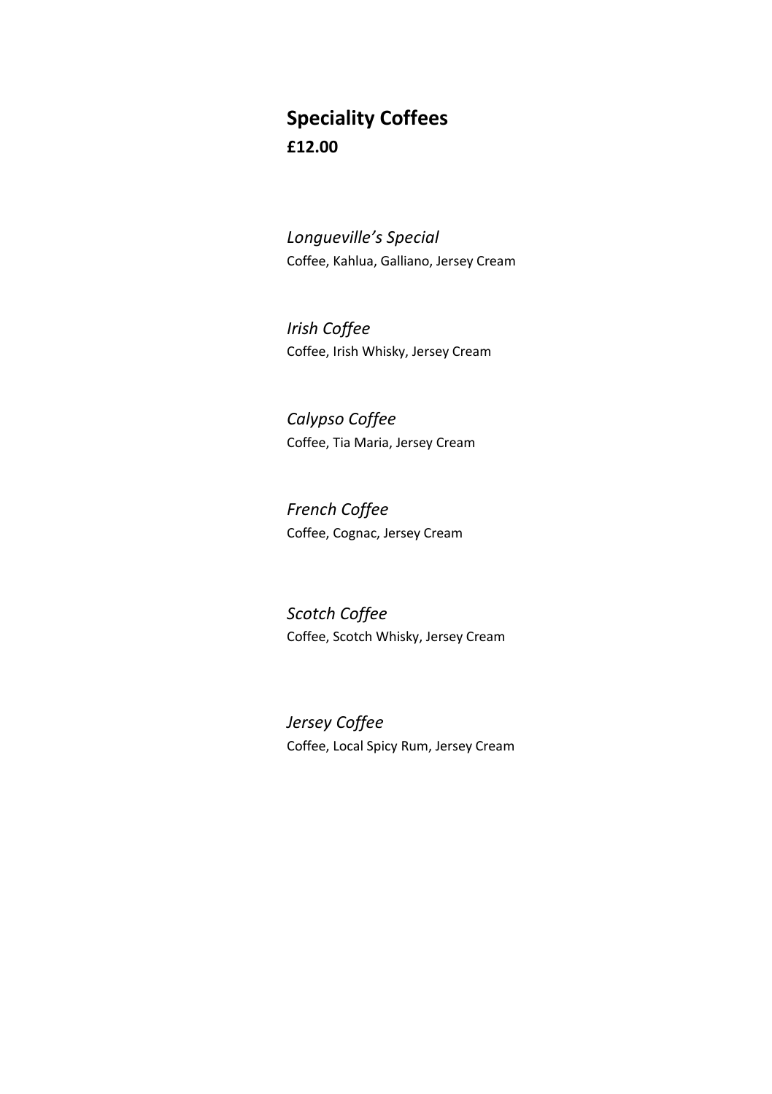## **Speciality Coffees £12.00**

*Longueville's Special* Coffee, Kahlua, Galliano, Jersey Cream

*Irish Coffee* Coffee, Irish Whisky, Jersey Cream

*Calypso Coffee* Coffee, Tia Maria, Jersey Cream

*French Coffee* Coffee, Cognac, Jersey Cream

*Scotch Coffee* Coffee, Scotch Whisky, Jersey Cream

*Jersey Coffee* Coffee, Local Spicy Rum, Jersey Cream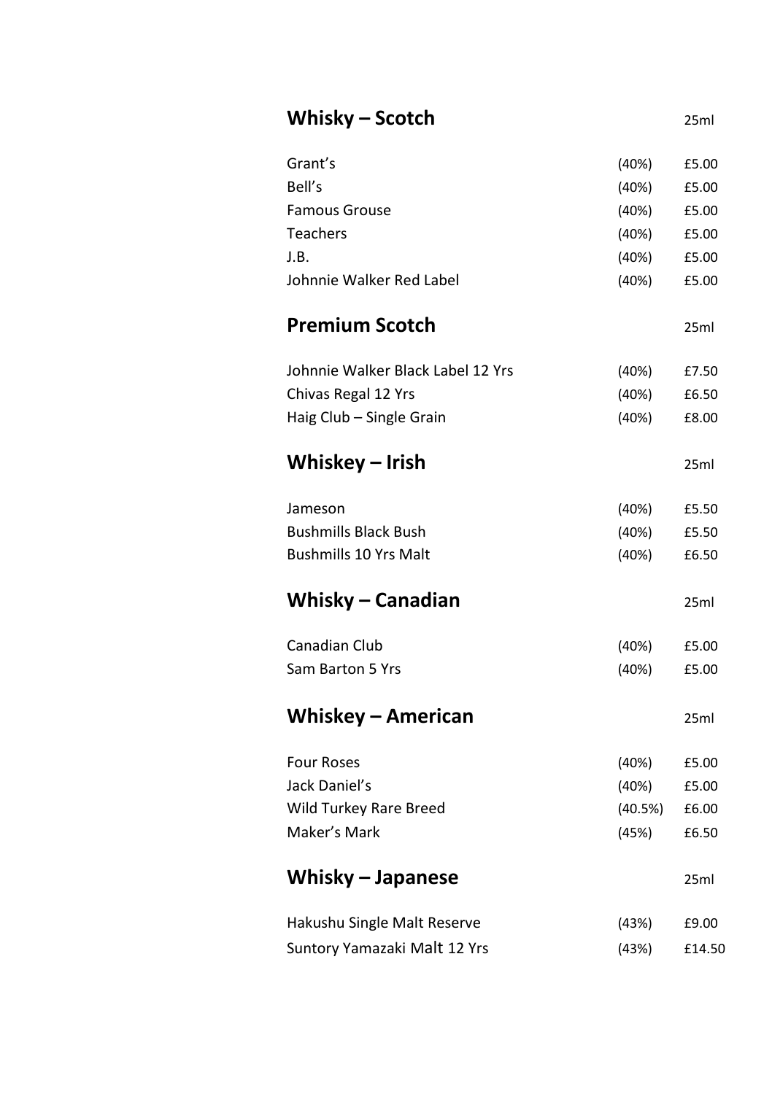| Whisky – Scotch                   |         | 25ml   |
|-----------------------------------|---------|--------|
| Grant's                           | (40%)   | £5.00  |
| Bell's                            | (40%)   | £5.00  |
| Famous Grouse                     | (40%)   | £5.00  |
| <b>Teachers</b>                   | (40%)   | £5.00  |
| J.B.                              | (40%)   | £5.00  |
| Johnnie Walker Red Label          | (40%)   | £5.00  |
| <b>Premium Scotch</b>             |         | 25ml   |
| Johnnie Walker Black Label 12 Yrs | (40%)   | £7.50  |
| Chivas Regal 12 Yrs               | (40%)   | £6.50  |
| Haig Club - Single Grain          | (40%)   | £8.00  |
| Whiskey – Irish                   |         | 25ml   |
| Jameson                           | (40%)   | £5.50  |
| <b>Bushmills Black Bush</b>       | (40%)   | £5.50  |
| <b>Bushmills 10 Yrs Malt</b>      | (40%)   | £6.50  |
| Whisky - Canadian                 |         | 25ml   |
| Canadian Club                     | (40%)   | £5.00  |
| Sam Barton 5 Yrs                  | (40%)   | £5.00  |
| <b>Whiskey - American</b>         |         | 25ml   |
| <b>Four Roses</b>                 | (40%)   | £5.00  |
| Jack Daniel's                     | (40%)   | £5.00  |
| Wild Turkey Rare Breed            | (40.5%) | £6.00  |
| Maker's Mark                      | (45%)   | £6.50  |
| Whisky - Japanese                 |         | 25ml   |
| Hakushu Single Malt Reserve       | (43%)   | £9.00  |
| Suntory Yamazaki Malt 12 Yrs      | (43%)   | £14.50 |
|                                   |         |        |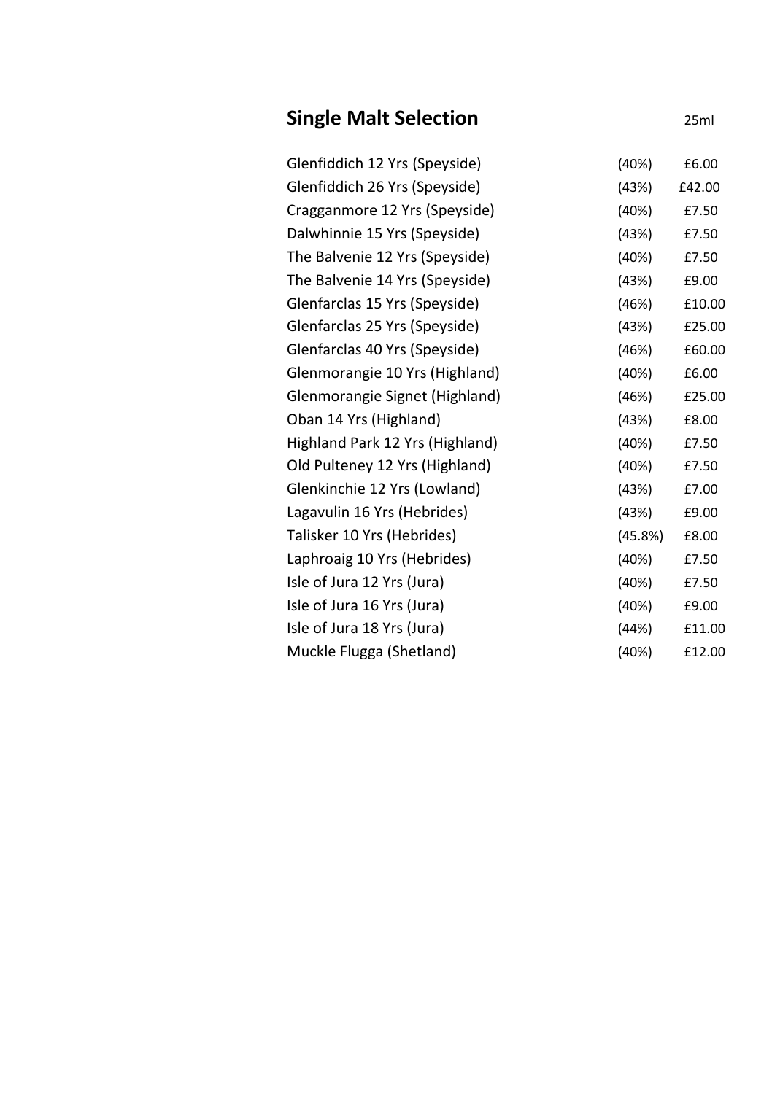| <b>Single Malt Selection</b>    |         | 25ml   |
|---------------------------------|---------|--------|
| Glenfiddich 12 Yrs (Speyside)   | (40%)   | £6.00  |
| Glenfiddich 26 Yrs (Speyside)   | (43%)   | £42.00 |
| Cragganmore 12 Yrs (Speyside)   | (40%)   | £7.50  |
| Dalwhinnie 15 Yrs (Speyside)    | (43%)   | £7.50  |
| The Balvenie 12 Yrs (Speyside)  | (40%)   | £7.50  |
| The Balvenie 14 Yrs (Speyside)  | (43%)   | £9.00  |
| Glenfarclas 15 Yrs (Speyside)   | (46%)   | £10.00 |
| Glenfarclas 25 Yrs (Speyside)   | (43%)   | £25.00 |
| Glenfarclas 40 Yrs (Speyside)   | (46%)   | £60.00 |
| Glenmorangie 10 Yrs (Highland)  | (40%)   | £6.00  |
| Glenmorangie Signet (Highland)  | (46%)   | £25.00 |
| Oban 14 Yrs (Highland)          | (43%)   | £8.00  |
| Highland Park 12 Yrs (Highland) | (40%)   | £7.50  |
| Old Pulteney 12 Yrs (Highland)  | (40%)   | £7.50  |
| Glenkinchie 12 Yrs (Lowland)    | (43%)   | £7.00  |
| Lagavulin 16 Yrs (Hebrides)     | (43%)   | £9.00  |
| Talisker 10 Yrs (Hebrides)      | (45.8%) | £8.00  |
| Laphroaig 10 Yrs (Hebrides)     | (40%)   | £7.50  |
| Isle of Jura 12 Yrs (Jura)      | (40%)   | £7.50  |
| Isle of Jura 16 Yrs (Jura)      | (40%)   | £9.00  |
| Isle of Jura 18 Yrs (Jura)      | (44%)   | £11.00 |
| Muckle Flugga (Shetland)        | (40%)   | £12.00 |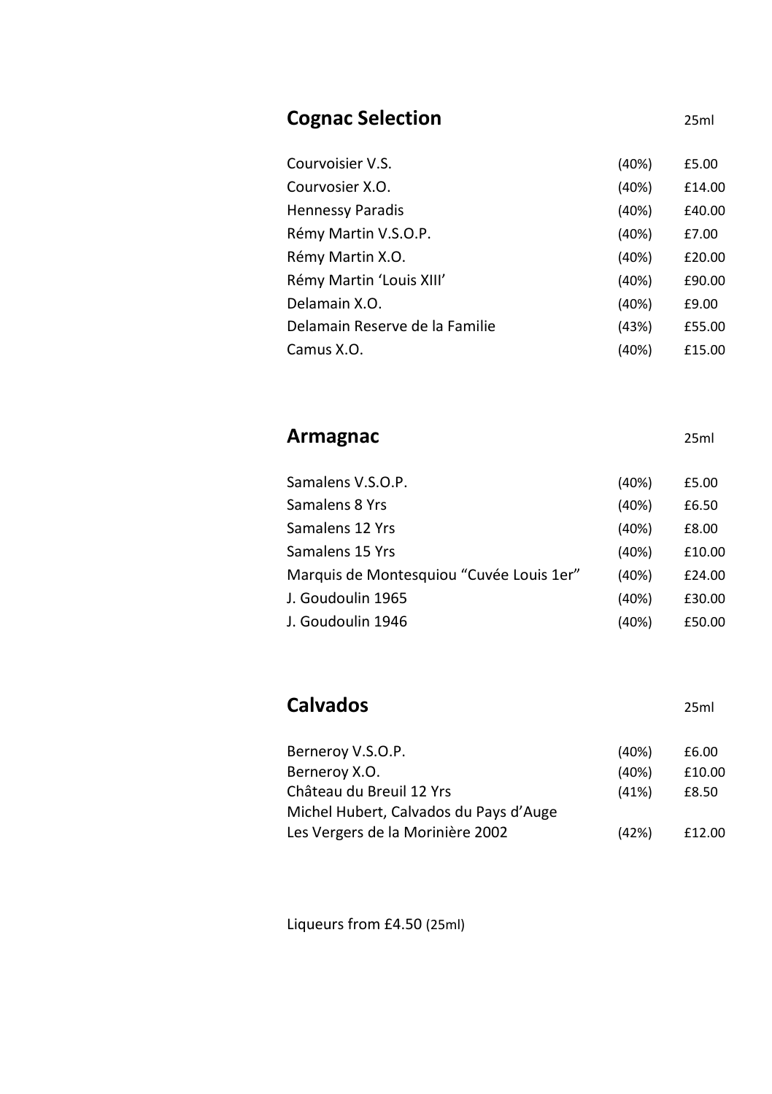| <b>Cognac Selection</b>        |           | 25ml         |
|--------------------------------|-----------|--------------|
| Courvoisier V.S.               | (40%)     | £5.00        |
| Courvosier X.O.                | (40%)     | £14.00       |
| <b>Hennessy Paradis</b>        | (40%)     | £40.00       |
| Rémy Martin V.S.O.P.           | (40%)     | £7.00        |
| Rémy Martin X.O.               | (40%)     | £20.00       |
| Rémy Martin 'Louis XIII'       | (40%)     | £90.00       |
| Delamain X.O.                  | (40%)     | £9.00        |
| Delamain Reserve de la Familie | (43%)     | £55.00       |
| Camus X.O.                     | (40%)     | £15.00       |
| Armagnac                       |           | 25ml         |
| Samalens V.S.O.P.              | (40%)     | £5.00        |
| Samalens 8 Yrs                 | (40%)     | £6.50        |
| Samalanc 17 Vrc                | $(100\%)$ | <b>FR UU</b> |

| Samalens 12 Yrs                          | (40%) | £8.00  |
|------------------------------------------|-------|--------|
| Samalens 15 Yrs                          | (40%) | £10.00 |
| Marquis de Montesquiou "Cuvée Louis 1er" | (40%) | £24.00 |
| J. Goudoulin 1965                        | (40%) | £30.00 |
| J. Goudoulin 1946                        | (40%) | £50.00 |

# **Calvados** 25ml

| Berneroy V.S.O.P.                      | (40%) | £6.00  |
|----------------------------------------|-------|--------|
| Berneroy X.O.                          | (40%) | £10.00 |
| Château du Breuil 12 Yrs               | (41%) | £8.50  |
| Michel Hubert, Calvados du Pays d'Auge |       |        |
| Les Vergers de la Morinière 2002       | (42%) | £12.00 |

Liqueurs from £4.50 (25ml)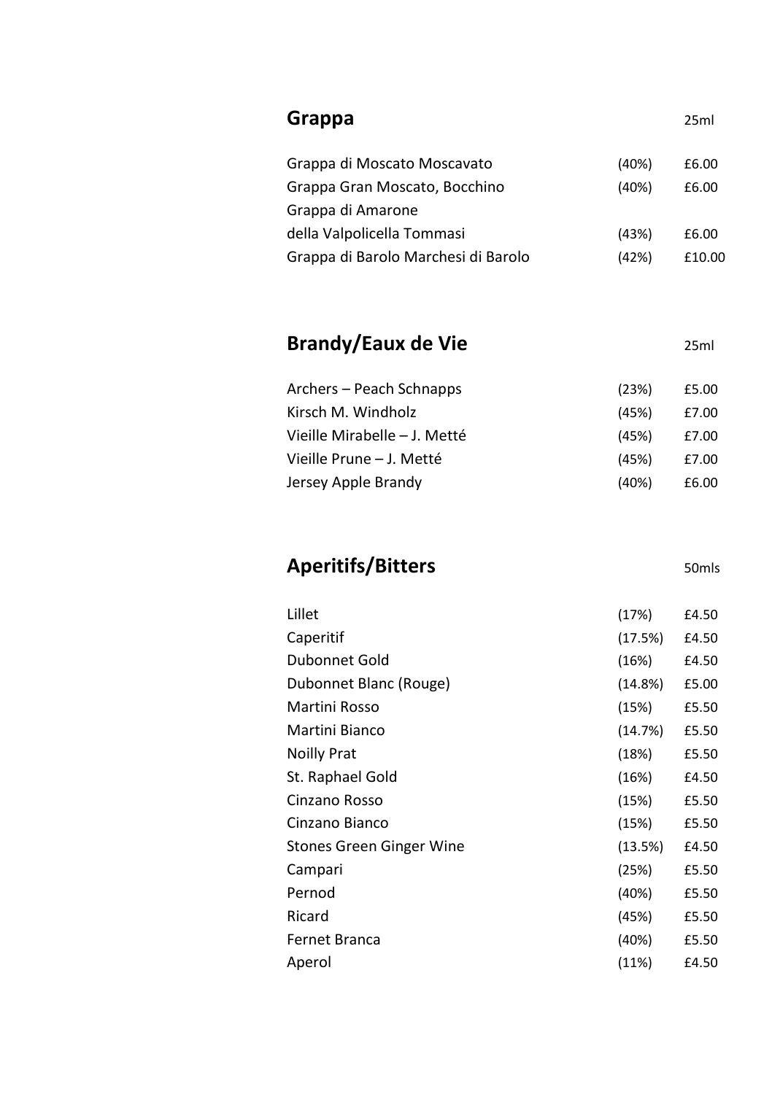| Grappa                                              |         | 25ml              |
|-----------------------------------------------------|---------|-------------------|
| Grappa di Moscato Moscavato                         | (40%)   | £6.00             |
| Grappa Gran Moscato, Bocchino<br>Grappa di Amarone  | (40%)   | £6.00             |
| della Valpolicella Tommasi                          | (43%)   | £6.00             |
| Grappa di Barolo Marchesi di Barolo                 | (42%)   | £10.00            |
| <b>Brandy/Eaux de Vie</b>                           |         | 25ml              |
| Archers – Peach Schnapps                            | (23%)   | £5.00             |
| Kirsch M. Windholz                                  | (45%)   | £7.00             |
| Vieille Mirabelle - J. Metté                        | (45%)   | £7.00             |
| Vieille Prune - J. Metté                            | (45%)   | £7.00             |
| Jersey Apple Brandy                                 | (40%)   | £6.00             |
|                                                     |         |                   |
|                                                     |         | 50 <sub>mls</sub> |
|                                                     | (17%)   | £4.50             |
| Caperitif                                           | (17.5%) | £4.50             |
| Dubonnet Gold                                       | (16%)   | £4.50             |
| Dubonnet Blanc (Rouge)                              | (14.8%) | £5.00             |
| <b>Aperitifs/Bitters</b><br>Lillet<br>Martini Rosso | (15%)   | £5.50             |
| Martini Bianco                                      | (14.7%) | £5.50             |
|                                                     | (18%)   | £5.50             |
| <b>Noilly Prat</b><br>St. Raphael Gold              | (16%)   | £4.50             |
| Cinzano Rosso                                       | (15%)   | £5.50             |
| Cinzano Bianco                                      | (15%)   | £5.50             |
| Stones Green Ginger Wine                            | (13.5%) | £4.50             |
| Campari                                             | (25%)   | £5.50             |
| Pernod                                              | (40%)   | £5.50             |
| Ricard                                              | (45%)   | £5.50             |
| Fernet Branca                                       | (40%)   | £5.50             |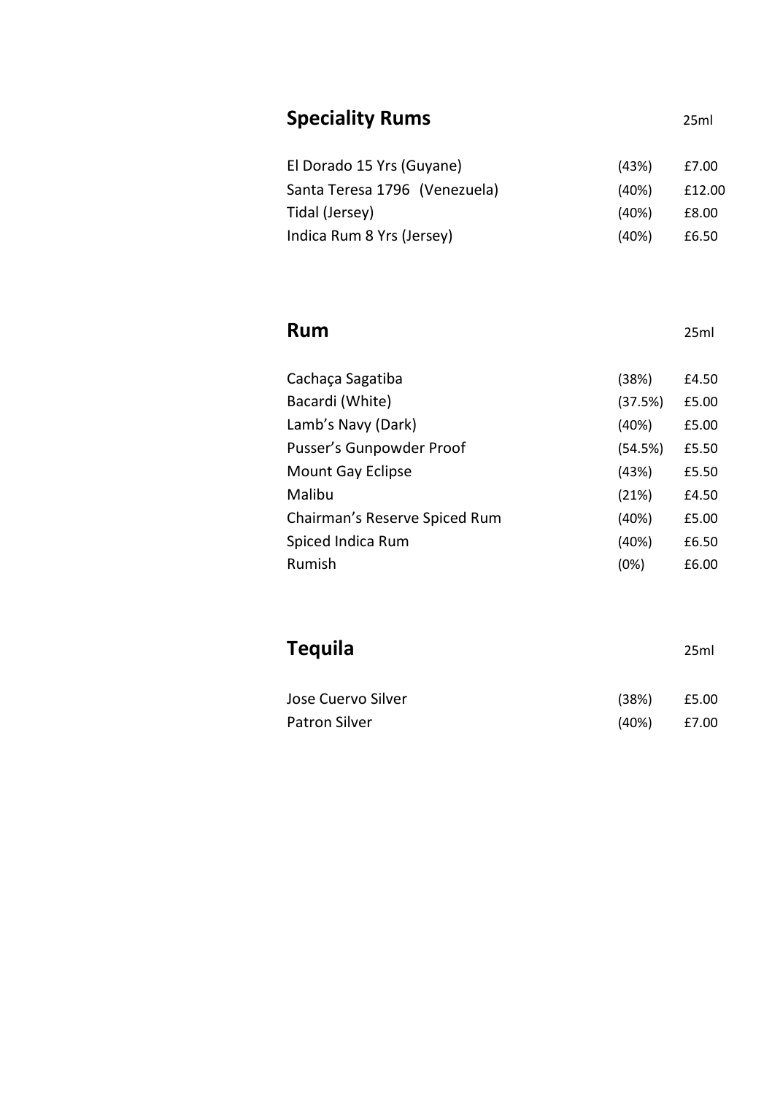| <b>Speciality Rums</b>        |         | 25ml   |
|-------------------------------|---------|--------|
| El Dorado 15 Yrs (Guyane)     | (43%)   | £7.00  |
| Santa Teresa 1796 (Venezuela) | (40%)   | £12.00 |
| Tidal (Jersey)                | (40%)   | £8.00  |
| Indica Rum 8 Yrs (Jersey)     | (40%)   | £6.50  |
|                               |         |        |
| <b>Rum</b>                    |         | 25ml   |
| Cachaça Sagatiba              | (38%)   | £4.50  |
| Bacardi (White)               | (37.5%) | £5.00  |
| Lamb's Navy (Dark)            | (40%)   | £5.00  |
| Pusser's Gunpowder Proof      | (54.5%) | £5.50  |
| Mount Gay Eclipse             | (43%)   | £5.50  |
| Malibu                        | (21%)   | £4.50  |
| Chairman's Reserve Spiced Rum | (40%)   | £5.00  |
| Spiced Indica Rum             | (40%)   | £6.50  |
| Rumish                        | (0%)    | £6.00  |
|                               |         |        |
| <b>Tequila</b>                |         | 25ml   |
| Jose Cuervo Silver            | (38%)   | £5.00  |

Patron Silver (40%) £7.00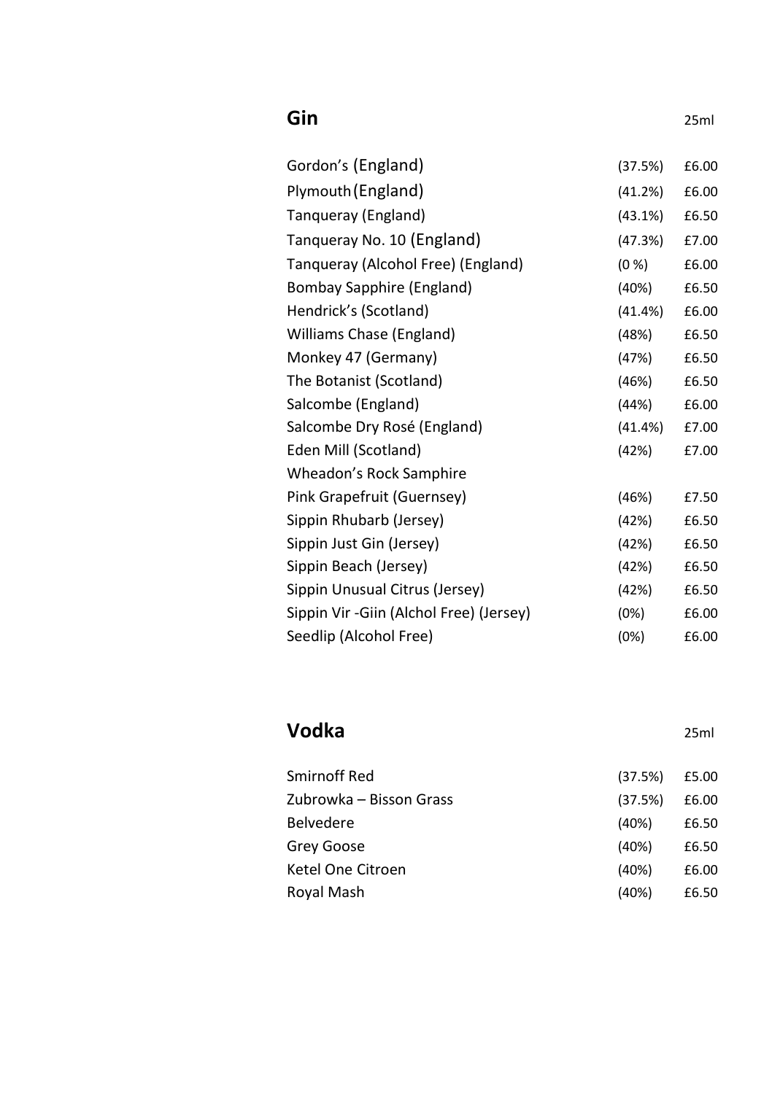| Gin                                      |            | 25ml  |
|------------------------------------------|------------|-------|
| Gordon's (England)                       | (37.5%)    | £6.00 |
| Plymouth (England)                       | (41.2%)    | £6.00 |
| Tanqueray (England)                      | (43.1%)    | £6.50 |
| Tangueray No. 10 (England)               | (47.3%)    | £7.00 |
| Tangueray (Alcohol Free) (England)       | (0 %)      | £6.00 |
| Bombay Sapphire (England)                | (40%)      | £6.50 |
| Hendrick's (Scotland)                    | (41.4%)    | £6.00 |
| Williams Chase (England)                 | (48%)      | £6.50 |
| Monkey 47 (Germany)                      | (47%)      | £6.50 |
| The Botanist (Scotland)                  | (46%)      | £6.50 |
| Salcombe (England)                       | (44%)      | £6.00 |
| Salcombe Dry Rosé (England)              | $(41.4\%)$ | £7.00 |
| Eden Mill (Scotland)                     | (42%)      | £7.00 |
| Wheadon's Rock Samphire                  |            |       |
| Pink Grapefruit (Guernsey)               | (46%)      | £7.50 |
| Sippin Rhubarb (Jersey)                  | (42%)      | £6.50 |
| Sippin Just Gin (Jersey)                 | (42%)      | £6.50 |
| Sippin Beach (Jersey)                    | (42%)      | £6.50 |
| Sippin Unusual Citrus (Jersey)           | (42%)      | £6.50 |
| Sippin Vir - Giin (Alchol Free) (Jersey) | (0%)       | £6.00 |
| Seedlip (Alcohol Free)                   | (0%)       | £6.00 |

### **Vodka** 25ml

| Smirnoff Red            | (37.5%) | £5.00 |
|-------------------------|---------|-------|
| Zubrowka – Bisson Grass | (37.5%) | £6.00 |
| <b>Belvedere</b>        | (40%)   | £6.50 |
| Grey Goose              | (40%)   | £6.50 |
| Ketel One Citroen       | (40%)   | £6.00 |
| Royal Mash              | (40%)   | £6.50 |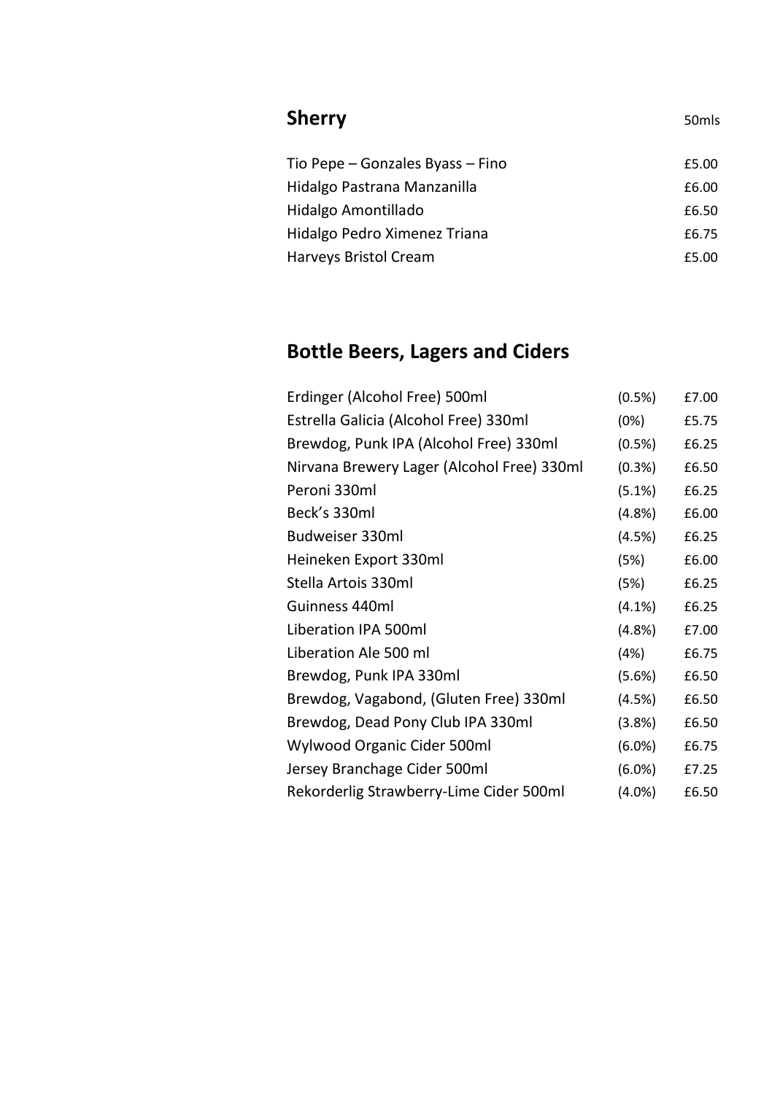| <b>Sherry</b>                    | 50 <sub>mls</sub> |
|----------------------------------|-------------------|
| Tio Pepe – Gonzales Byass – Fino | £5.00             |
| Hidalgo Pastrana Manzanilla      | £6.00             |
| Hidalgo Amontillado              | £6.50             |
| Hidalgo Pedro Ximenez Triana     | £6.75             |
| Harveys Bristol Cream            | £5.00             |
|                                  |                   |

# **Bottle Beers, Lagers and Ciders**

| Erdinger (Alcohol Free) 500ml              | (0.5%)    | £7.00 |
|--------------------------------------------|-----------|-------|
| Estrella Galicia (Alcohol Free) 330ml      | (0%)      | £5.75 |
| Brewdog, Punk IPA (Alcohol Free) 330ml     | $(0.5\%)$ | £6.25 |
| Nirvana Brewery Lager (Alcohol Free) 330ml | (0.3%)    | £6.50 |
| Peroni 330ml                               | $(5.1\%)$ | £6.25 |
| Beck's 330ml                               | (4.8%)    | £6.00 |
| Budweiser 330ml                            | (4.5%)    | £6.25 |
| Heineken Export 330ml                      | (5%)      | £6.00 |
| Stella Artois 330ml                        | (5%)      | £6.25 |
| Guinness 440ml                             | $(4.1\%)$ | £6.25 |
| Liberation IPA 500ml                       | $(4.8\%)$ | £7.00 |
| Liberation Ale 500 ml                      | (4%)      | £6.75 |
| Brewdog, Punk IPA 330ml                    | (5.6%)    | £6.50 |
| Brewdog, Vagabond, (Gluten Free) 330ml     | (4.5%)    | £6.50 |
| Brewdog, Dead Pony Club IPA 330ml          | (3.8%)    | £6.50 |
| Wylwood Organic Cider 500ml                | $(6.0\%)$ | £6.75 |
| Jersey Branchage Cider 500ml               | $(6.0\%)$ | £7.25 |
| Rekorderlig Strawberry-Lime Cider 500ml    | $(4.0\%)$ | £6.50 |